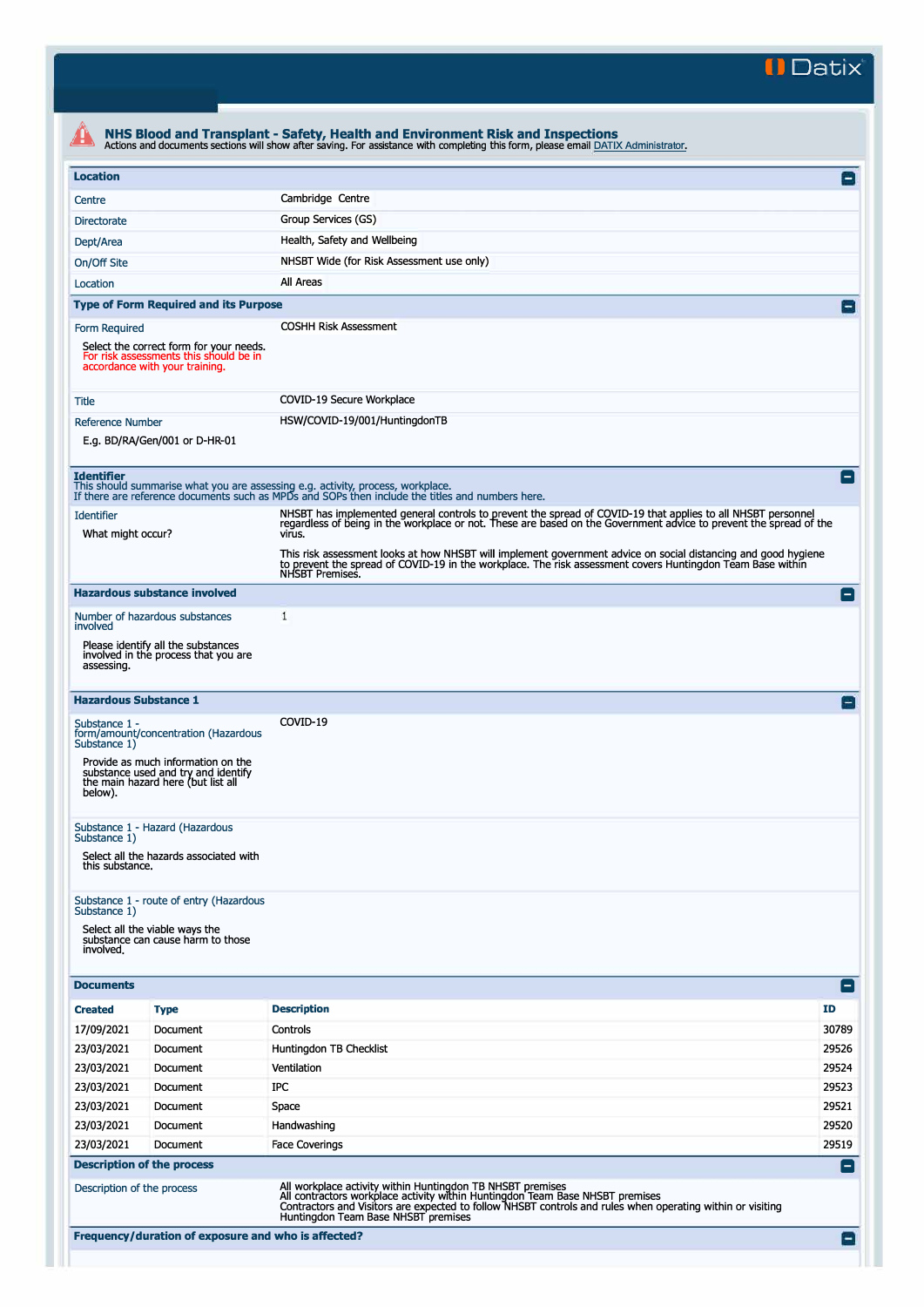**II Datix'** 

| <b>Location</b>                        |                                                                                                                     |                                                                                                                                                                                                                                                           | E              |
|----------------------------------------|---------------------------------------------------------------------------------------------------------------------|-----------------------------------------------------------------------------------------------------------------------------------------------------------------------------------------------------------------------------------------------------------|----------------|
| Centre                                 |                                                                                                                     | Cambridge Centre                                                                                                                                                                                                                                          |                |
| <b>Directorate</b>                     |                                                                                                                     | Group Services (GS)                                                                                                                                                                                                                                       |                |
| Dept/Area                              |                                                                                                                     | Health, Safety and Wellbeing                                                                                                                                                                                                                              |                |
| On/Off Site                            |                                                                                                                     | NHSBT Wide (for Risk Assessment use only)                                                                                                                                                                                                                 |                |
| Location                               |                                                                                                                     | All Areas                                                                                                                                                                                                                                                 |                |
|                                        | <b>Type of Form Required and its Purpose</b>                                                                        |                                                                                                                                                                                                                                                           | $\overline{ }$ |
|                                        |                                                                                                                     | <b>COSHH Risk Assessment</b>                                                                                                                                                                                                                              |                |
| Form Required                          | Select the correct form for your needs.<br>For risk assessments this should be in<br>accordance with your training. |                                                                                                                                                                                                                                                           |                |
| <b>Title</b>                           |                                                                                                                     | COVID-19 Secure Workplace                                                                                                                                                                                                                                 |                |
| <b>Reference Number</b>                |                                                                                                                     | HSW/COVID-19/001/HuntingdonTB                                                                                                                                                                                                                             |                |
| E.g. BD/RA/Gen/001 or D-HR-01          |                                                                                                                     |                                                                                                                                                                                                                                                           |                |
| <b>Identifier</b>                      |                                                                                                                     | This should summarise what you are assessing e.g. activity, process, workplace.<br>If there are reference documents such as MPDs and SOPs then include the titles and numbers here.                                                                       | E              |
| <b>Identifier</b><br>What might occur? |                                                                                                                     | NHSBT has implemented general controls to prevent the spread of COVID-19 that applies to all NHSBT personnel<br>regardless of being in the workplace or not. These are based on the Government advice to prevent the spread of the<br>virus.              |                |
|                                        |                                                                                                                     | This risk assessment looks at how NHSBT will implement government advice on social distancing and good hygiene<br>to prevent the spread of COVID-19 in the workplace. The risk assessment covers Huntingdon Team Base within<br>NHSBT Premises.           |                |
|                                        | <b>Hazardous substance involved</b>                                                                                 |                                                                                                                                                                                                                                                           | E              |
| involved                               | Number of hazardous substances                                                                                      | 1                                                                                                                                                                                                                                                         |                |
| assessing.                             | Please identify all the substances<br>involved in the process that you are                                          |                                                                                                                                                                                                                                                           |                |
| <b>Hazardous Substance 1</b>           |                                                                                                                     |                                                                                                                                                                                                                                                           | $\Box$         |
| Substance 1 -<br>Substance 1)          | form/amount/concentration (Hazardous                                                                                | COVID-19                                                                                                                                                                                                                                                  |                |
| below).                                | Provide as much information on the<br>substance used and try and identify<br>the main hazard here (but list all     |                                                                                                                                                                                                                                                           |                |
| Substance 1)                           | Substance 1 - Hazard (Hazardous                                                                                     |                                                                                                                                                                                                                                                           |                |
| this substance.                        | Select all the hazards associated with                                                                              |                                                                                                                                                                                                                                                           |                |
| Substance 1)<br>involved.              | Substance 1 - route of entry (Hazardous<br>Select all the viable ways the<br>substance can cause harm to those      |                                                                                                                                                                                                                                                           |                |
| <b>Documents</b>                       |                                                                                                                     |                                                                                                                                                                                                                                                           | E              |
| <b>Created</b>                         | <b>Type</b>                                                                                                         | <b>Description</b>                                                                                                                                                                                                                                        | ID             |
| 17/09/2021                             | Document                                                                                                            | Controls                                                                                                                                                                                                                                                  | 30789          |
| 23/03/2021                             | Document                                                                                                            | Huntingdon TB Checklist                                                                                                                                                                                                                                   | 29526          |
| 23/03/2021                             | Document                                                                                                            | Ventilation                                                                                                                                                                                                                                               | 29524          |
| 23/03/2021                             | Document                                                                                                            | <b>IPC</b>                                                                                                                                                                                                                                                | 29523          |
| 23/03/2021                             | Document                                                                                                            | Space                                                                                                                                                                                                                                                     | 29521          |
| 23/03/2021                             | Document                                                                                                            | Handwashing                                                                                                                                                                                                                                               | 29520          |
| 23/03/2021                             | Document                                                                                                            | <b>Face Coverings</b>                                                                                                                                                                                                                                     | 29519          |
|                                        | <b>Description of the process</b>                                                                                   |                                                                                                                                                                                                                                                           | Е              |
|                                        | Description of the process                                                                                          | All workplace activity within Huntingdon TB NHSBT premises<br>All contractors workplace activity within Huntingdon Team Base NHSBT premises<br>Contractors and Visitors are expected to follow NHSBT controls and rules when operating within or visiting |                |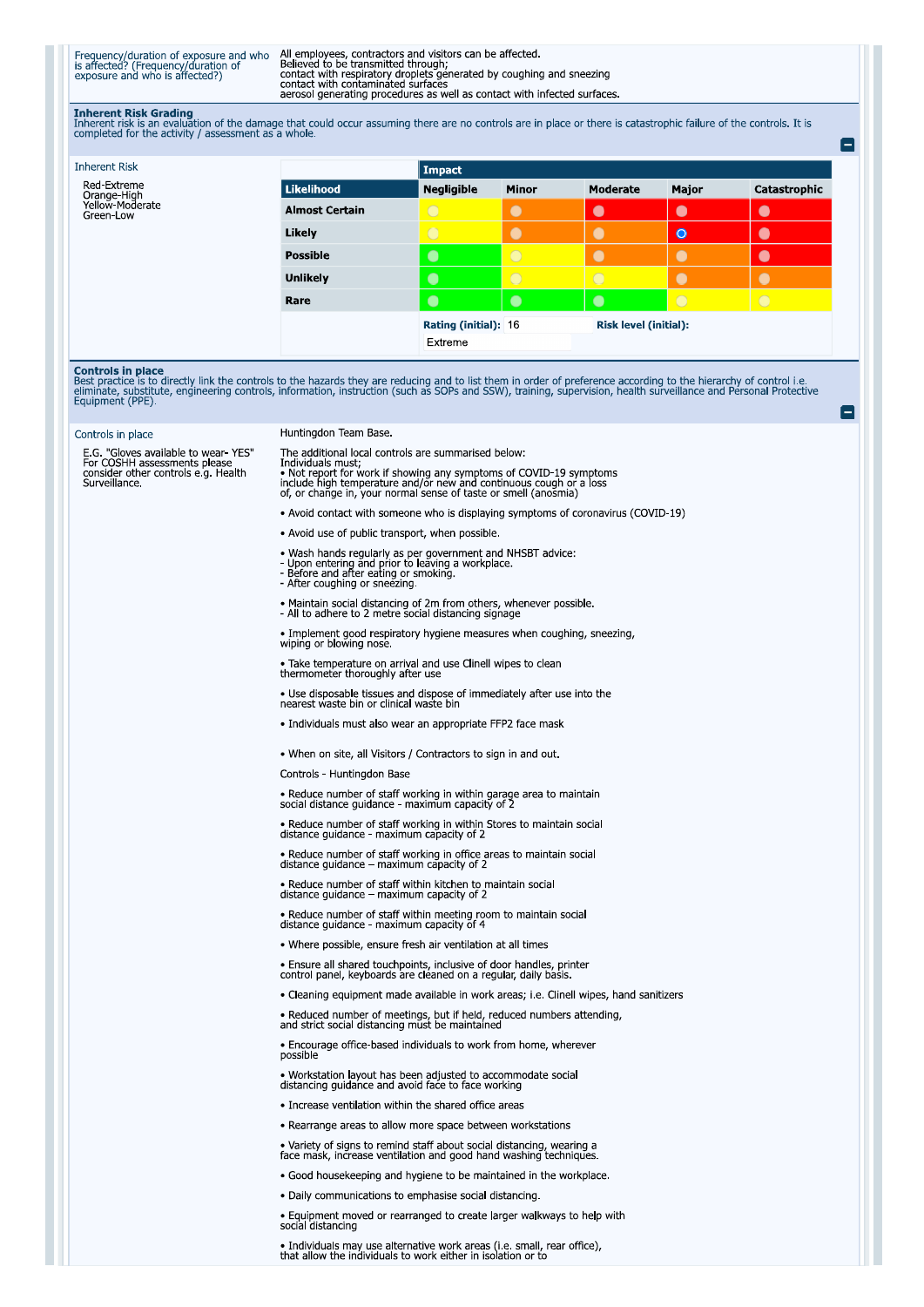Frequency/duration of exposure and who<br>is affected? (Frequency/duration of<br>exposure and who is affected?)

All employees, contractors and visitors can be affected.<br>Believed to be transmitted through;<br>contact with respiratory droplets generated by coughing and sneezing<br>contact with respiratory droplets generated by coughing and

**Inherent Risk Grading**<br>Inherent risk is an evaluation of the damage that could occur assuming there are no controls are in place or there is catastrophic failure of the controls. It is<br>completed for the activity / assessm

| <b>Inherent Risk</b>                        |                       | Impact               |              |                              |           |                |
|---------------------------------------------|-----------------------|----------------------|--------------|------------------------------|-----------|----------------|
| Red-Extreme                                 | Likelihood            | <b>Negligible</b>    | <b>Minor</b> | <b>Moderate</b>              | Major     | Catastrophic   |
| Orange-High<br>Yellow-Moderate<br>Green-Low | <b>Almost Certain</b> | $\circ$              | $\bullet$    | $\bullet$                    | $\bullet$ | $\bullet$      |
|                                             | Likely                | $\bigcirc$           | $\bullet$    | $\bullet$                    | $\bullet$ | $\bullet$      |
|                                             | <b>Possible</b>       | $\bullet$            | $\circ$      | $\bullet$                    | $\bullet$ | $\bullet$      |
|                                             | <b>Unlikely</b>       | $\bullet$            | $\circ$      | $\overline{O}$               |           |                |
|                                             | Rare                  | $\bullet$            | $\bullet$    | $\bullet$                    | $\circ$   | $\overline{O}$ |
|                                             |                       | Rating (initial): 16 |              | <b>Risk level (initial):</b> |           |                |
|                                             |                       | Extreme              |              |                              |           |                |

 $\blacksquare$ 

**Controls in place**<br>Best practice is to directly link the controls to the hazards they are reducing and to list them in order of preference according to the hierarchy of control i.e.<br>eliminate, substitute, engineering cont

| $-$ , $-$ , $-$ , $-$ , $-$ , $-$ , $-$ , $-$ , $-$ , $-$ , $-$ , $-$ , $-$ , $-$ , $-$ , $-$ , $-$ , $-$ , $-$ , $-$ , $-$ , $-$ , $-$ , $-$ , $-$ , $-$ , $-$ , $-$ , $-$ , $-$ , $-$ , $-$ , $-$ , $-$ , $-$ , $-$ , $-$ , |                                                                                                                                                                                                                                                                                         |  |  |  |
|-------------------------------------------------------------------------------------------------------------------------------------------------------------------------------------------------------------------------------|-----------------------------------------------------------------------------------------------------------------------------------------------------------------------------------------------------------------------------------------------------------------------------------------|--|--|--|
| Controls in place                                                                                                                                                                                                             | Huntingdon Team Base.                                                                                                                                                                                                                                                                   |  |  |  |
| E.G. "Gloves available to wear-YES"<br>For COSHH assessments please<br>consider other controls e.g. Health<br>Surveillance.                                                                                                   | The additional local controls are summarised below:<br>Individuals must;<br>• Not report for work if showing any symptoms of COVID-19 symptoms<br>include high temperature and/or new and continuous cough or a loss<br>of, or change in, your normal sense of taste or smell (anosmia) |  |  |  |
|                                                                                                                                                                                                                               | • Avoid contact with someone who is displaying symptoms of coronavirus (COVID-19)                                                                                                                                                                                                       |  |  |  |
|                                                                                                                                                                                                                               | • Avoid use of public transport, when possible.                                                                                                                                                                                                                                         |  |  |  |
|                                                                                                                                                                                                                               | • Wash hands regularly as per government and NHSBT advice:<br>- Upon entering and prior to leaving a workplace.<br>- Before and after eating or smoking.<br>- After coughing or sneezing.                                                                                               |  |  |  |
|                                                                                                                                                                                                                               | • Maintain social distancing of 2m from others, whenever possible.<br>- All to adhere to 2 metre social distancing signage                                                                                                                                                              |  |  |  |
|                                                                                                                                                                                                                               | • Implement good respiratory hygiene measures when coughing, sneezing,<br>wiping or blowing nose.                                                                                                                                                                                       |  |  |  |
|                                                                                                                                                                                                                               | • Take temperature on arrival and use Clinell wipes to clean<br>thermometer thoroughly after use                                                                                                                                                                                        |  |  |  |
|                                                                                                                                                                                                                               | • Use disposable tissues and dispose of immediately after use into the<br>nearest waste bin or clinical waste bin                                                                                                                                                                       |  |  |  |
|                                                                                                                                                                                                                               | • Individuals must also wear an appropriate FFP2 face mask                                                                                                                                                                                                                              |  |  |  |
|                                                                                                                                                                                                                               | • When on site, all Visitors / Contractors to sign in and out                                                                                                                                                                                                                           |  |  |  |
|                                                                                                                                                                                                                               | Controls - Huntingdon Base                                                                                                                                                                                                                                                              |  |  |  |
|                                                                                                                                                                                                                               | • Reduce number of staff working in within garage area to maintain<br>social distance guidance - maximum capacity of 2                                                                                                                                                                  |  |  |  |
|                                                                                                                                                                                                                               | • Reduce number of staff working in within Stores to maintain social<br>distance quidance - maximum capacity of 2                                                                                                                                                                       |  |  |  |
|                                                                                                                                                                                                                               | • Reduce number of staff working in office areas to maintain social<br>distance guidance - maximum capacity of 2                                                                                                                                                                        |  |  |  |
|                                                                                                                                                                                                                               | • Reduce number of staff within kitchen to maintain social<br>distance quidance $-$ maximum capacity of 2                                                                                                                                                                               |  |  |  |
|                                                                                                                                                                                                                               | • Reduce number of staff within meeting room to maintain social<br>distance guidance - maximum capacity of 4                                                                                                                                                                            |  |  |  |
|                                                                                                                                                                                                                               | • Where possible, ensure fresh air ventilation at all times                                                                                                                                                                                                                             |  |  |  |
|                                                                                                                                                                                                                               | • Ensure all shared touchpoints, inclusive of door handles, printer<br>control panel, keyboards are cleaned on a regular, daily basis.                                                                                                                                                  |  |  |  |
|                                                                                                                                                                                                                               | • Cleaning equipment made available in work areas; i.e. Clinell wipes, hand sanitizers                                                                                                                                                                                                  |  |  |  |
|                                                                                                                                                                                                                               | • Reduced number of meetings, but if held, reduced numbers attending,<br>and strict social distancing must be maintained                                                                                                                                                                |  |  |  |
|                                                                                                                                                                                                                               | • Encourage office-based individuals to work from home, wherever<br>possible                                                                                                                                                                                                            |  |  |  |
|                                                                                                                                                                                                                               | • Workstation layout has been adjusted to accommodate social<br>distancing quidance and avoid face to face working                                                                                                                                                                      |  |  |  |
|                                                                                                                                                                                                                               | • Increase ventilation within the shared office areas                                                                                                                                                                                                                                   |  |  |  |
|                                                                                                                                                                                                                               | • Rearrange areas to allow more space between workstations                                                                                                                                                                                                                              |  |  |  |
|                                                                                                                                                                                                                               | . Variety of signs to remind staff about social distancing, wearing a<br>face mask, increase ventilation and good hand washing techniques.                                                                                                                                              |  |  |  |
|                                                                                                                                                                                                                               | • Good housekeeping and hygiene to be maintained in the workplace.                                                                                                                                                                                                                      |  |  |  |
|                                                                                                                                                                                                                               | • Daily communications to emphasise social distancing.                                                                                                                                                                                                                                  |  |  |  |
|                                                                                                                                                                                                                               | • Equipment moved or rearranged to create larger walkways to help with<br>social distancing                                                                                                                                                                                             |  |  |  |
|                                                                                                                                                                                                                               | • Individuals may use alternative work areas (i.e. small, rear office), that allow the individuals to work either in isolation or to                                                                                                                                                    |  |  |  |